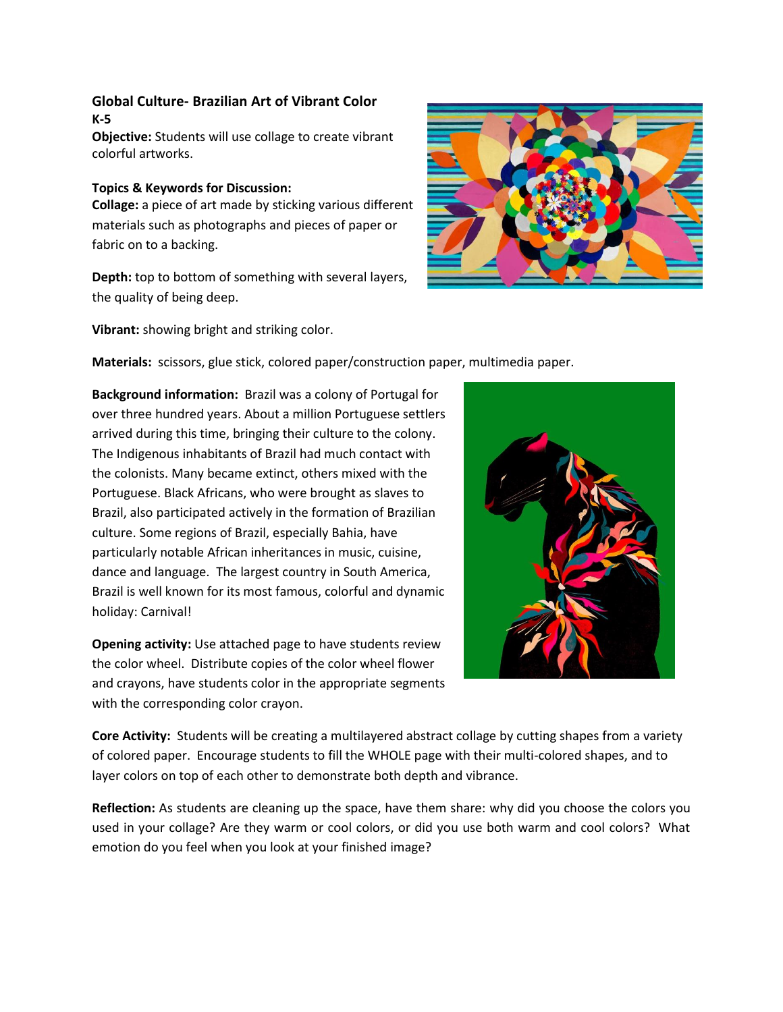## **Global Culture- Brazilian Art of Vibrant Color K-5**

**Objective:** Students will use collage to create vibrant colorful artworks.

## **Topics & Keywords for Discussion:**

**Collage:** a piece of art made by sticking various different materials such as photographs and pieces of paper or fabric on to a backing.

**Depth:** top to bottom of something with several layers, the quality of being deep.



**Materials:** scissors, glue stick, colored paper/construction paper, multimedia paper.

**Background information:** Brazil was a colony of Portugal for over three hundred years. About a million Portuguese settlers arrived during this time, bringing their culture to the colony. The Indigenous inhabitants of Brazil had much contact with the colonists. Many became extinct, others mixed with the Portuguese. Black Africans, who were brought as slaves to Brazil, also participated actively in the formation of Brazilian culture. Some regions of Brazil, especially Bahia, have particularly notable African inheritances in music, cuisine, dance and language. The largest country in South America, Brazil is well known for its most famous, colorful and dynamic holiday: Carnival!

**Opening activity:** Use attached page to have students review the color wheel. Distribute copies of the color wheel flower and crayons, have students color in the appropriate segments with the corresponding color crayon.



**Core Activity:** Students will be creating a multilayered abstract collage by cutting shapes from a variety of colored paper. Encourage students to fill the WHOLE page with their multi-colored shapes, and to layer colors on top of each other to demonstrate both depth and vibrance.

**Reflection:** As students are cleaning up the space, have them share: why did you choose the colors you used in your collage? Are they warm or cool colors, or did you use both warm and cool colors? What emotion do you feel when you look at your finished image?